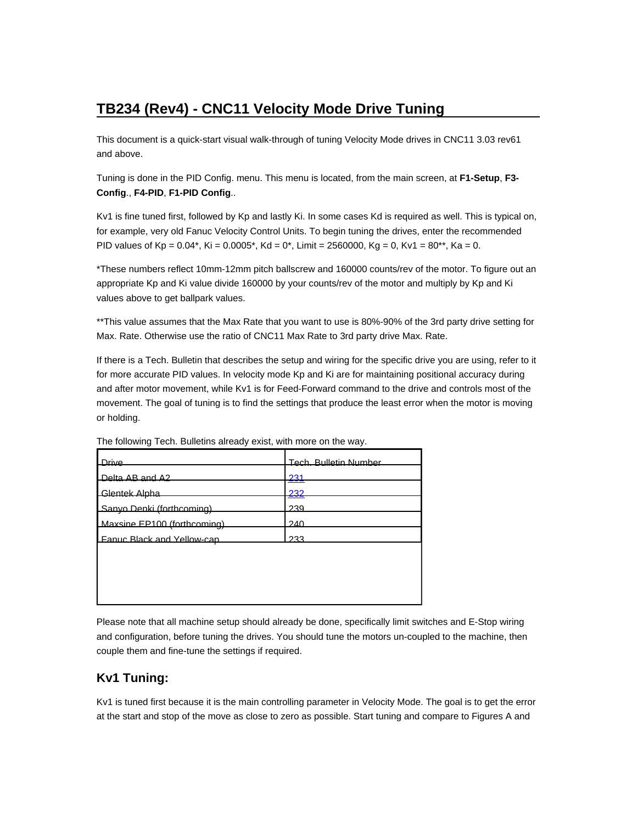# **TB234 (Rev4) - CNC11 Velocity Mode Drive Tuning**

This document is a quick-start visual walk-through of tuning Velocity Mode drives in CNC11 3.03 rev61 and above.

Tuning is done in the PID Config. menu. This menu is located, from the main screen, at **F1-Setup**, **F3- Config**., **F4-PID**, **F1-PID Config**..

Kv1 is fine tuned first, followed by Kp and lastly Ki. In some cases Kd is required as well. This is typical on, for example, very old Fanuc Velocity Control Units. To begin tuning the drives, enter the recommended PID values of  $Kp = 0.04^*$ ,  $Ki = 0.0005^*$ ,  $Kd = 0^*$ , Limit = 2560000,  $Kg = 0$ ,  $Kv1 = 80^{**}$ ,  $Ka = 0$ .

\*These numbers reflect 10mm-12mm pitch ballscrew and 160000 counts/rev of the motor. To figure out an appropriate Kp and Ki value divide 160000 by your counts/rev of the motor and multiply by Kp and Ki values above to get ballpark values.

\*\*This value assumes that the Max Rate that you want to use is 80%-90% of the 3rd party drive setting for Max. Rate. Otherwise use the ratio of CNC11 Max Rate to 3rd party drive Max. Rate.

If there is a Tech. Bulletin that describes the setup and wiring for the specific drive you are using, refer to it for more accurate PID values. In velocity mode Kp and Ki are for maintaining positional accuracy during and after motor movement, while Kv1 is for Feed-Forward command to the drive and controls most of the movement. The goal of tuning is to find the settings that produce the least error when the motor is moving or holding.

| Drive                       | <b>Tech Rulletin Number</b> |
|-----------------------------|-----------------------------|
| Delta AR and A2             | 231                         |
| Glentek Alnha               | 232                         |
| Sanyo Denki (forthcoming)   | 239                         |
| Maxsine FP100 (forthcoming) | 240                         |
| Fanuc Black and Yellow-can  | 233                         |
|                             |                             |
|                             |                             |
|                             |                             |
|                             |                             |

The following Tech. Bulletins already exist, with more on the way.

Please note that all machine setup should already be done, specifically limit switches and E-Stop wiring and configuration, before tuning the drives. You should tune the motors un-coupled to the machine, then couple them and fine-tune the settings if required.

### **Kv1 Tuning:**

Kv1 is tuned first because it is the main controlling parameter in Velocity Mode. The goal is to get the error at the start and stop of the move as close to zero as possible. Start tuning and compare to Figures A and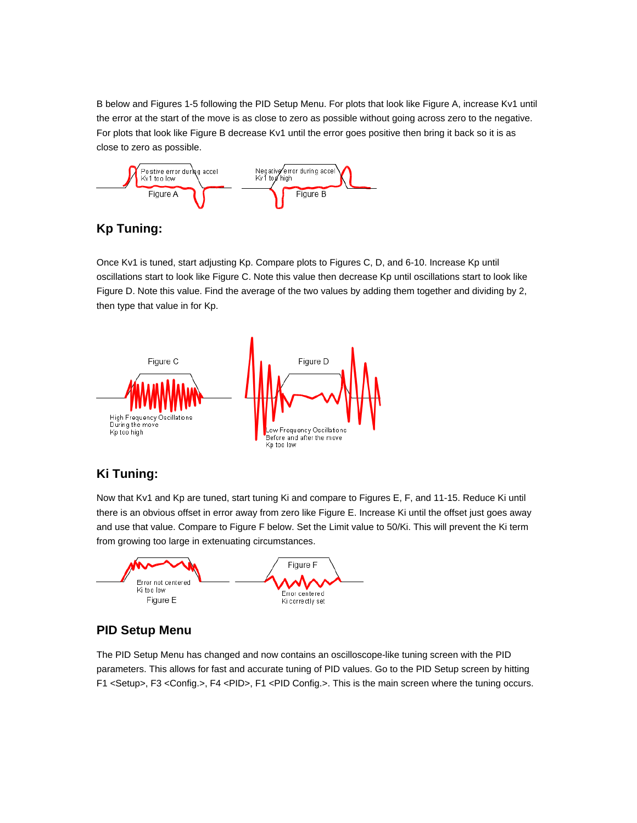B below and Figures 1-5 following the PID Setup Menu. For plots that look like Figure A, increase Kv1 until the error at the start of the move is as close to zero as possible without going across zero to the negative. For plots that look like Figure B decrease Kv1 until the error goes positive then bring it back so it is as close to zero as possible.



### **Kp Tuning:**

Once Kv1 is tuned, start adjusting Kp. Compare plots to Figures C, D, and 6-10. Increase Kp until oscillations start to look like Figure C. Note this value then decrease Kp until oscillations start to look like Figure D. Note this value. Find the average of the two values by adding them together and dividing by 2, then type that value in for Kp.



## **Ki Tuning:**

Now that Kv1 and Kp are tuned, start tuning Ki and compare to Figures E, F, and 11-15. Reduce Ki until there is an obvious offset in error away from zero like Figure E. Increase Ki until the offset just goes away and use that value. Compare to Figure F below. Set the Limit value to 50/Ki. This will prevent the Ki term from growing too large in extenuating circumstances.



## **PID Setup Menu**

The PID Setup Menu has changed and now contains an oscilloscope-like tuning screen with the PID parameters. This allows for fast and accurate tuning of PID values. Go to the PID Setup screen by hitting F1 <Setup>, F3 <Config.>, F4 <PID>, F1 <PID Config.>. This is the main screen where the tuning occurs.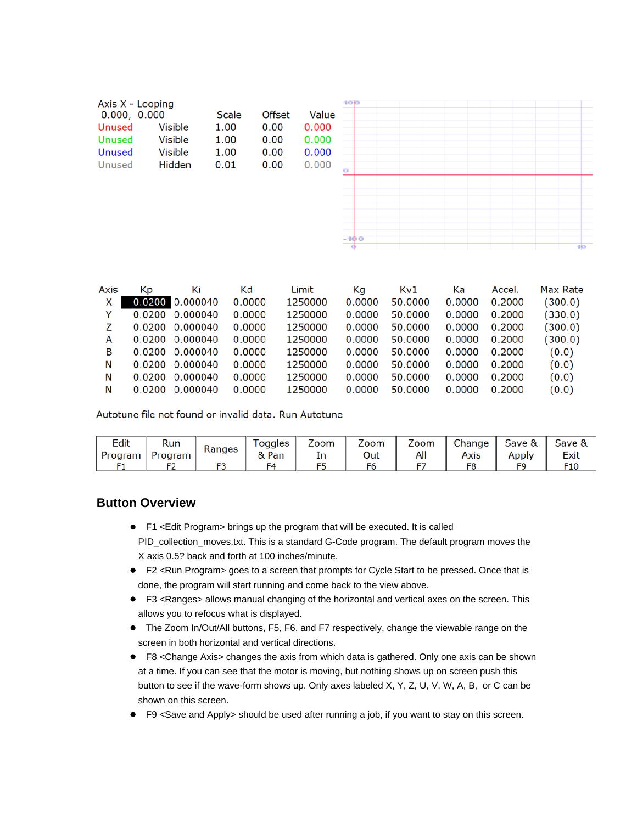| Axis X - Looping<br>0.000, 0.000<br>Unused<br>Unused<br><b>Unused</b><br>Unused | <b>Visible</b><br><b>Visible</b><br><b>Visible</b><br>Hidden | Scale<br>1.00<br>1.00<br>1.00<br>0.01 | Offset<br>0.00<br>0.00<br>0.00<br>0.00 | Value<br>0.000<br>0.000<br>0.000<br>0.000 | 100<br>$\bullet$ |  |    |
|---------------------------------------------------------------------------------|--------------------------------------------------------------|---------------------------------------|----------------------------------------|-------------------------------------------|------------------|--|----|
|                                                                                 |                                                              |                                       |                                        |                                           | $-100$<br>œ      |  | 10 |

| Axis | Кp     | Ki              | Κd     | Limit   | Кa     | Kv1     | Ka     | Accel. | Max Rate |
|------|--------|-----------------|--------|---------|--------|---------|--------|--------|----------|
| x    |        | 0.0200 0.000040 | 0.0000 | 1250000 | 0.0000 | 50.0000 | 0.0000 | 0.2000 | (300.0)  |
| Y    |        | 0.0200 0.000040 | 0.0000 | 1250000 | 0.0000 | 50,0000 | 0.0000 | 0.2000 | (330.0)  |
|      |        | 0.0200 0.000040 | 0.0000 | 1250000 | 0.0000 | 50.0000 | 0.0000 | 0.2000 | (300.0)  |
| A    |        | 0.0200 0.000040 | 0.0000 | 1250000 | 0.0000 | 50.0000 | 0.0000 | 0.2000 | (300.0)  |
| в    |        | 0.0200 0.000040 | 0.0000 | 1250000 | 0.0000 | 50.0000 | 0.0000 | 0.2000 | (0.0)    |
| N    |        | 0.0200 0.000040 | 0.0000 | 1250000 | 0.0000 | 50.0000 | 0.0000 | 0.2000 | (0.0)    |
| N    | 0.0200 | 0.000040        | 0.0000 | 1250000 | 0.0000 | 50,0000 | 0.0000 | 0.2000 | (0.0)    |
| N    | 0.0200 | 0.000040        | 0.0000 | 1250000 | 0.0000 | 50,0000 | 0.0000 | 0.2000 | (0.0)    |

Autotune file not found or invalid data. Run Autotune

| Edit    | Run     | Ranges | Toggles | Zoom | Zoom | Zoom |      | Change   Save & | Save & $\vert$ |
|---------|---------|--------|---------|------|------|------|------|-----------------|----------------|
| Program | Program |        | & Pan   | In   | Out  | All  | Axis | Apply           | Exit           |
|         |         |        | F4      | F5   |      |      | F8   |                 |                |

#### **Button Overview**

- F1 <Edit Program> brings up the program that will be executed. It is called PID\_collection\_moves.txt. This is a standard G-Code program. The default program moves the X axis 0.5? back and forth at 100 inches/minute.
- F2 <Run Program> goes to a screen that prompts for Cycle Start to be pressed. Once that is done, the program will start running and come back to the view above.
- F3 <Ranges> allows manual changing of the horizontal and vertical axes on the screen. This allows you to refocus what is displayed.
- The Zoom In/Out/All buttons, F5, F6, and F7 respectively, change the viewable range on the screen in both horizontal and vertical directions.
- F8 <Change Axis> changes the axis from which data is gathered. Only one axis can be shown at a time. If you can see that the motor is moving, but nothing shows up on screen push this button to see if the wave-form shows up. Only axes labeled X, Y, Z, U, V, W, A, B, or C can be shown on this screen.
- F9 <Save and Apply> should be used after running a job, if you want to stay on this screen.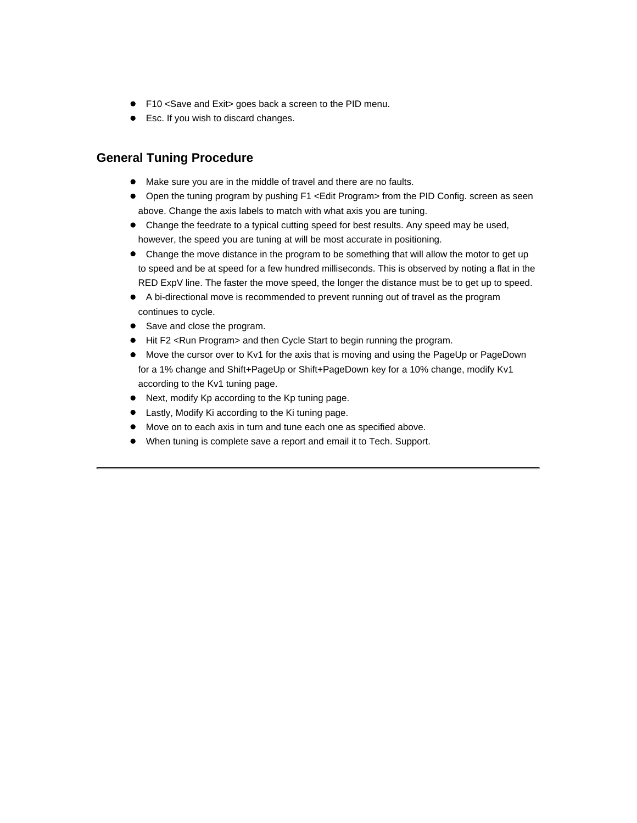- F10 <Save and Exit> goes back a screen to the PID menu.
- Esc. If you wish to discard changes.

#### **General Tuning Procedure**

- Make sure you are in the middle of travel and there are no faults.
- Open the tuning program by pushing F1 <Edit Program> from the PID Config. screen as seen above. Change the axis labels to match with what axis you are tuning.
- Change the feedrate to a typical cutting speed for best results. Any speed may be used, however, the speed you are tuning at will be most accurate in positioning.
- Change the move distance in the program to be something that will allow the motor to get up to speed and be at speed for a few hundred milliseconds. This is observed by noting a flat in the RED ExpV line. The faster the move speed, the longer the distance must be to get up to speed.
- A bi-directional move is recommended to prevent running out of travel as the program continues to cycle.
- Save and close the program.
- Hit F2 <Run Program> and then Cycle Start to begin running the program.
- Move the cursor over to Kv1 for the axis that is moving and using the PageUp or PageDown for a 1% change and Shift+PageUp or Shift+PageDown key for a 10% change, modify Kv1 according to the Kv1 tuning page.
- Next, modify Kp according to the Kp tuning page.
- Lastly, Modify Ki according to the Ki tuning page.
- Move on to each axis in turn and tune each one as specified above.
- When tuning is complete save a report and email it to Tech. Support.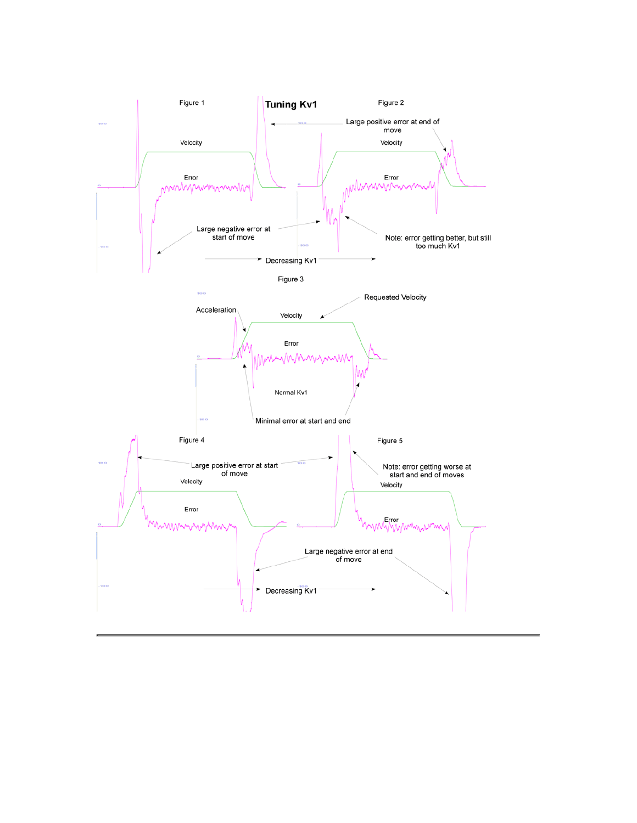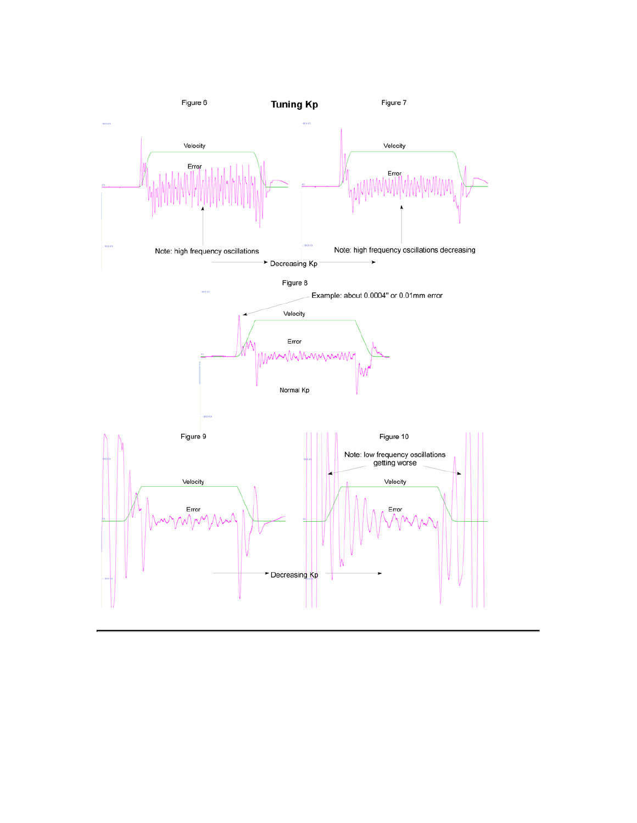![](_page_5_Figure_0.jpeg)